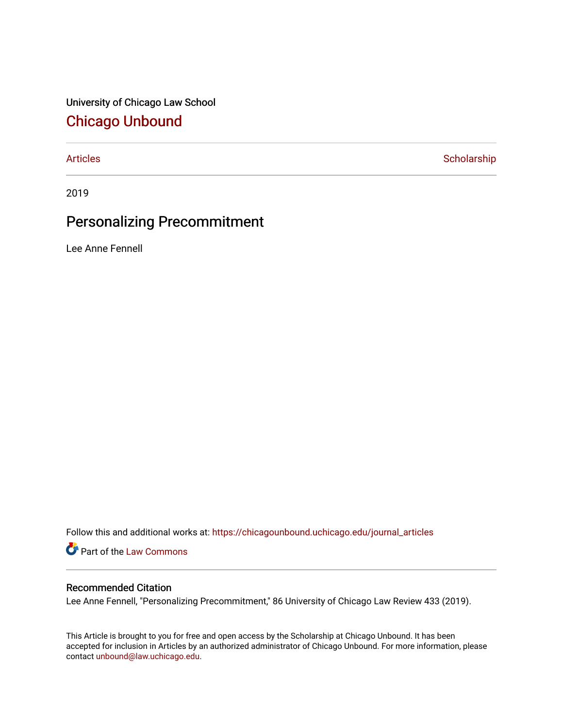University of Chicago Law School [Chicago Unbound](https://chicagounbound.uchicago.edu/)

[Articles](https://chicagounbound.uchicago.edu/journal_articles) **Scholarship** 

2019

# Personalizing Precommitment

Lee Anne Fennell

Follow this and additional works at: [https://chicagounbound.uchicago.edu/journal\\_articles](https://chicagounbound.uchicago.edu/journal_articles?utm_source=chicagounbound.uchicago.edu%2Fjournal_articles%2F9896&utm_medium=PDF&utm_campaign=PDFCoverPages) 

Part of the [Law Commons](http://network.bepress.com/hgg/discipline/578?utm_source=chicagounbound.uchicago.edu%2Fjournal_articles%2F9896&utm_medium=PDF&utm_campaign=PDFCoverPages)

### Recommended Citation

Lee Anne Fennell, "Personalizing Precommitment," 86 University of Chicago Law Review 433 (2019).

This Article is brought to you for free and open access by the Scholarship at Chicago Unbound. It has been accepted for inclusion in Articles by an authorized administrator of Chicago Unbound. For more information, please contact [unbound@law.uchicago.edu](mailto:unbound@law.uchicago.edu).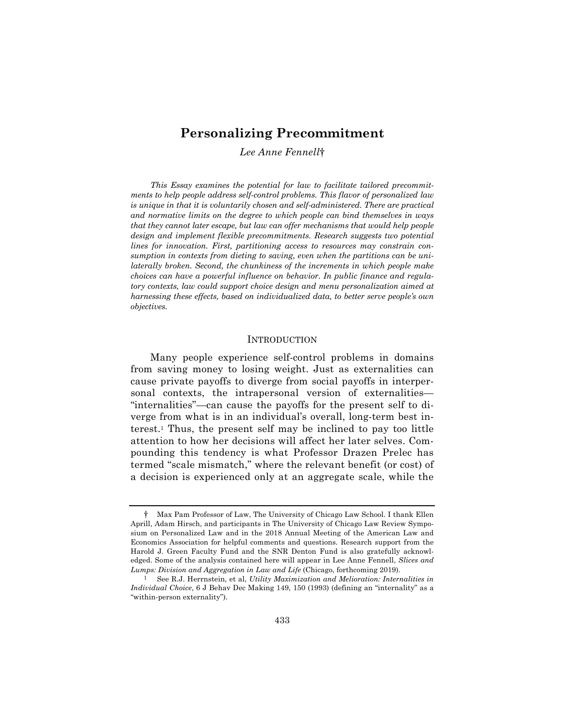## **Personalizing Precommitment**

*Lee Anne Fennell*†

*This Essay examines the potential for law to facilitate tailored precommitments to help people address self-control problems. This flavor of personalized law is unique in that it is voluntarily chosen and self-administered. There are practical and normative limits on the degree to which people can bind themselves in ways that they cannot later escape, but law can offer mechanisms that would help people design and implement flexible precommitments. Research suggests two potential lines for innovation. First, partitioning access to resources may constrain consumption in contexts from dieting to saving, even when the partitions can be unilaterally broken. Second, the chunkiness of the increments in which people make choices can have a powerful influence on behavior. In public finance and regulatory contexts, law could support choice design and menu personalization aimed at harnessing these effects, based on individualized data, to better serve people's own objectives.*

#### **INTRODUCTION**

Many people experience self-control problems in domains from saving money to losing weight. Just as externalities can cause private payoffs to diverge from social payoffs in interpersonal contexts, the intrapersonal version of externalities— "internalities"—can cause the payoffs for the present self to diverge from what is in an individual's overall, long-term best interest.1 Thus, the present self may be inclined to pay too little attention to how her decisions will affect her later selves. Compounding this tendency is what Professor Drazen Prelec has termed "scale mismatch," where the relevant benefit (or cost) of a decision is experienced only at an aggregate scale, while the

<sup>†</sup> Max Pam Professor of Law, The University of Chicago Law School. I thank Ellen Aprill, Adam Hirsch, and participants in The University of Chicago Law Review Symposium on Personalized Law and in the 2018 Annual Meeting of the American Law and Economics Association for helpful comments and questions. Research support from the Harold J. Green Faculty Fund and the SNR Denton Fund is also gratefully acknowledged. Some of the analysis contained here will appear in Lee Anne Fennell, *Slices and Lumps: Division and Aggregation in Law and Life* (Chicago, forthcoming 2019).

<sup>1</sup> See R.J. Herrnstein, et al, *Utility Maximization and Melioration: Internalities in Individual Choice*, 6 J Behav Dec Making 149, 150 (1993) (defining an "internality" as a "within-person externality").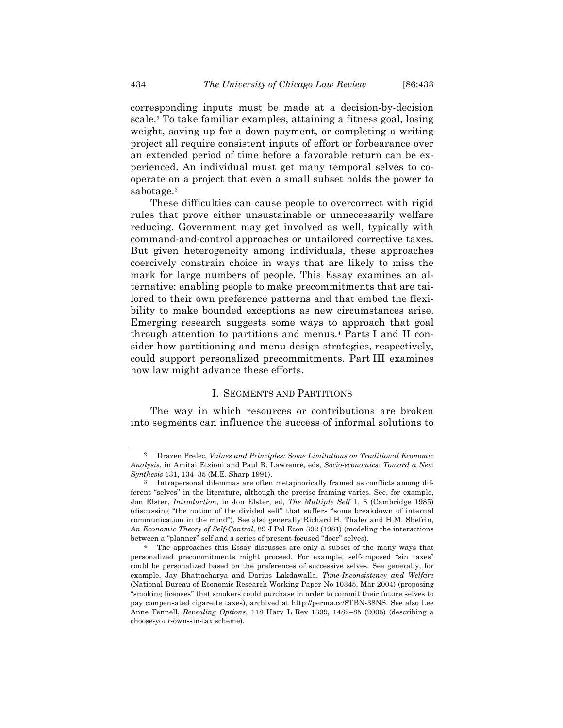corresponding inputs must be made at a decision-by-decision scale.2 To take familiar examples, attaining a fitness goal, losing weight, saving up for a down payment, or completing a writing project all require consistent inputs of effort or forbearance over an extended period of time before a favorable return can be experienced. An individual must get many temporal selves to cooperate on a project that even a small subset holds the power to sabotage.3

These difficulties can cause people to overcorrect with rigid rules that prove either unsustainable or unnecessarily welfare reducing. Government may get involved as well, typically with command-and-control approaches or untailored corrective taxes. But given heterogeneity among individuals, these approaches coercively constrain choice in ways that are likely to miss the mark for large numbers of people. This Essay examines an alternative: enabling people to make precommitments that are tailored to their own preference patterns and that embed the flexibility to make bounded exceptions as new circumstances arise. Emerging research suggests some ways to approach that goal through attention to partitions and menus.4 Parts I and II consider how partitioning and menu-design strategies, respectively, could support personalized precommitments. Part III examines how law might advance these efforts.

#### I. SEGMENTS AND PARTITIONS

The way in which resources or contributions are broken into segments can influence the success of informal solutions to

<sup>2</sup> Drazen Prelec, *Values and Principles: Some Limitations on Traditional Economic Analysis*, in Amitai Etzioni and Paul R. Lawrence, eds, *Socio-economics: Toward a New Synthesis* 131, 134–35 (M.E. Sharp 1991).

<sup>3</sup> Intrapersonal dilemmas are often metaphorically framed as conflicts among different "selves" in the literature, although the precise framing varies. See, for example, Jon Elster, *Introduction*, in Jon Elster, ed, *The Multiple Self* 1, 6 (Cambridge 1985) (discussing "the notion of the divided self" that suffers "some breakdown of internal communication in the mind"). See also generally Richard H. Thaler and H.M. Shefrin, *An Economic Theory of Self-Control*, 89 J Pol Econ 392 (1981) (modeling the interactions between a "planner" self and a series of present-focused "doer" selves).

<sup>4</sup> The approaches this Essay discusses are only a subset of the many ways that personalized precommitments might proceed. For example, self-imposed "sin taxes" could be personalized based on the preferences of successive selves. See generally, for example, Jay Bhattacharya and Darius Lakdawalla, *Time-Inconsistency and Welfare* (National Bureau of Economic Research Working Paper No 10345, Mar 2004) (proposing "smoking licenses" that smokers could purchase in order to commit their future selves to pay compensated cigarette taxes), archived at http://perma.cc/8TBN-38NS. See also Lee Anne Fennell, *Revealing Options*, 118 Harv L Rev 1399, 1482–85 (2005) (describing a choose-your-own-sin-tax scheme).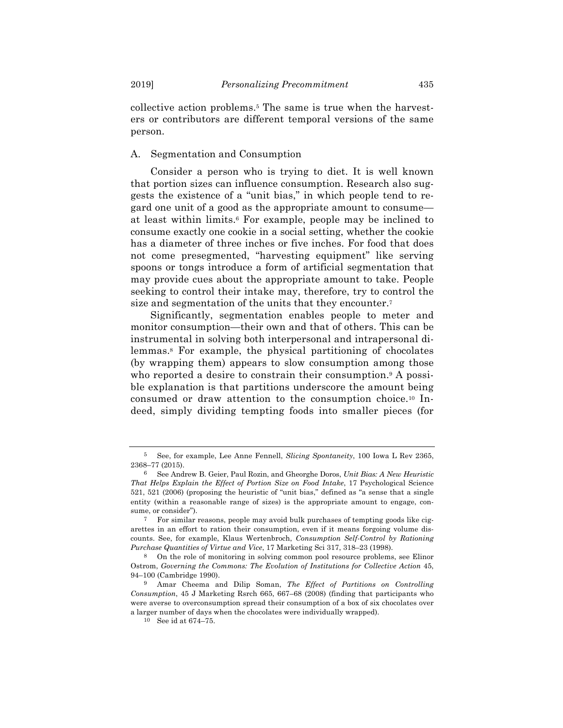collective action problems.5 The same is true when the harvesters or contributors are different temporal versions of the same person.

#### A. Segmentation and Consumption

Consider a person who is trying to diet. It is well known that portion sizes can influence consumption. Research also suggests the existence of a "unit bias," in which people tend to regard one unit of a good as the appropriate amount to consume at least within limits.6 For example, people may be inclined to consume exactly one cookie in a social setting, whether the cookie has a diameter of three inches or five inches. For food that does not come presegmented, "harvesting equipment" like serving spoons or tongs introduce a form of artificial segmentation that may provide cues about the appropriate amount to take. People seeking to control their intake may, therefore, try to control the size and segmentation of the units that they encounter.7

Significantly, segmentation enables people to meter and monitor consumption—their own and that of others. This can be instrumental in solving both interpersonal and intrapersonal dilemmas.8 For example, the physical partitioning of chocolates (by wrapping them) appears to slow consumption among those who reported a desire to constrain their consumption.<sup>9</sup> A possible explanation is that partitions underscore the amount being consumed or draw attention to the consumption choice.10 Indeed, simply dividing tempting foods into smaller pieces (for

<sup>5</sup> See, for example, Lee Anne Fennell, *Slicing Spontaneity*, 100 Iowa L Rev 2365, 2368–77 (2015).

<sup>6</sup> See Andrew B. Geier, Paul Rozin, and Gheorghe Doros, *Unit Bias: A New Heuristic That Helps Explain the Effect of Portion Size on Food Intake*, 17 Psychological Science 521, 521 (2006) (proposing the heuristic of "unit bias," defined as "a sense that a single entity (within a reasonable range of sizes) is the appropriate amount to engage, consume, or consider").

<sup>7</sup> For similar reasons, people may avoid bulk purchases of tempting goods like cigarettes in an effort to ration their consumption, even if it means forgoing volume discounts. See, for example, Klaus Wertenbroch, *Consumption Self-Control by Rationing Purchase Quantities of Virtue and Vice*, 17 Marketing Sci 317, 318–23 (1998).

<sup>8</sup> On the role of monitoring in solving common pool resource problems, see Elinor Ostrom, *Governing the Commons: The Evolution of Institutions for Collective Action* 45, 94–100 (Cambridge 1990).

<sup>9</sup> Amar Cheema and Dilip Soman, *The Effect of Partitions on Controlling Consumption*, 45 J Marketing Rsrch 665, 667–68 (2008) (finding that participants who were averse to overconsumption spread their consumption of a box of six chocolates over a larger number of days when the chocolates were individually wrapped).

<sup>10</sup> See id at 674–75.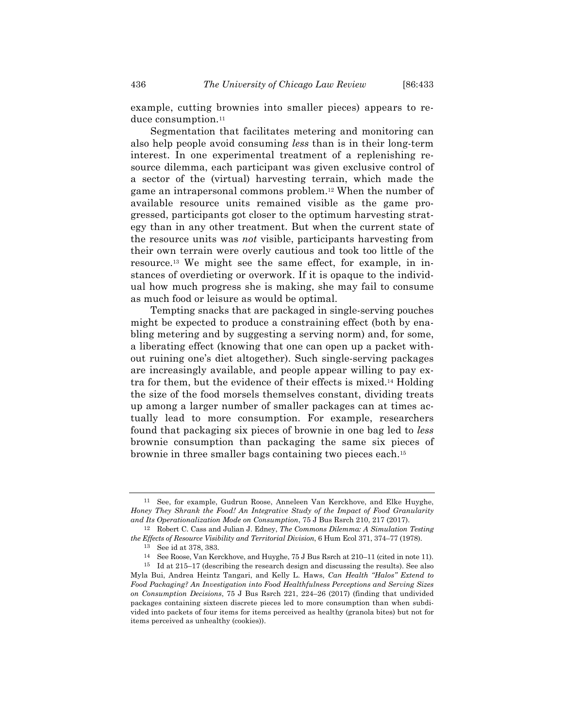example, cutting brownies into smaller pieces) appears to reduce consumption.<sup>11</sup>

Segmentation that facilitates metering and monitoring can also help people avoid consuming *less* than is in their long-term interest. In one experimental treatment of a replenishing resource dilemma, each participant was given exclusive control of a sector of the (virtual) harvesting terrain, which made the game an intrapersonal commons problem.12 When the number of available resource units remained visible as the game progressed, participants got closer to the optimum harvesting strategy than in any other treatment. But when the current state of the resource units was *not* visible, participants harvesting from their own terrain were overly cautious and took too little of the resource.13 We might see the same effect, for example, in instances of overdieting or overwork. If it is opaque to the individual how much progress she is making, she may fail to consume as much food or leisure as would be optimal.

Tempting snacks that are packaged in single-serving pouches might be expected to produce a constraining effect (both by enabling metering and by suggesting a serving norm) and, for some, a liberating effect (knowing that one can open up a packet without ruining one's diet altogether). Such single-serving packages are increasingly available, and people appear willing to pay extra for them, but the evidence of their effects is mixed.14 Holding the size of the food morsels themselves constant, dividing treats up among a larger number of smaller packages can at times actually lead to more consumption. For example, researchers found that packaging six pieces of brownie in one bag led to *less* brownie consumption than packaging the same six pieces of brownie in three smaller bags containing two pieces each.15

<sup>11</sup> See, for example, Gudrun Roose, Anneleen Van Kerckhove, and Elke Huyghe, *Honey They Shrank the Food! An Integrative Study of the Impact of Food Granularity and Its Operationalization Mode on Consumption*, 75 J Bus Rsrch 210, 217 (2017).

<sup>12</sup> Robert C. Cass and Julian J. Edney, *The Commons Dilemma: A Simulation Testing the Effects of Resource Visibility and Territorial Division*, 6 Hum Ecol 371, 374–77 (1978).

<sup>13</sup> See id at 378, 383.

<sup>14</sup> See Roose, Van Kerckhove, and Huyghe, 75 J Bus Rsrch at 210–11 (cited in note 11).

<sup>15</sup> Id at 215–17 (describing the research design and discussing the results). See also Myla Bui, Andrea Heintz Tangari, and Kelly L. Haws, *Can Health "Halos" Extend to Food Packaging? An Investigation into Food Healthfulness Perceptions and Serving Sizes on Consumption Decisions*, 75 J Bus Rsrch 221, 224–26 (2017) (finding that undivided packages containing sixteen discrete pieces led to more consumption than when subdivided into packets of four items for items perceived as healthy (granola bites) but not for items perceived as unhealthy (cookies)).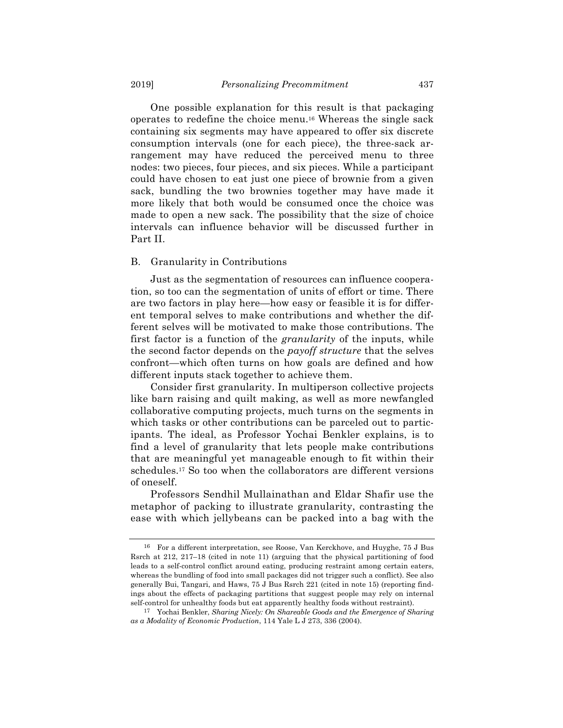One possible explanation for this result is that packaging operates to redefine the choice menu.16 Whereas the single sack containing six segments may have appeared to offer six discrete consumption intervals (one for each piece), the three-sack arrangement may have reduced the perceived menu to three nodes: two pieces, four pieces, and six pieces. While a participant could have chosen to eat just one piece of brownie from a given sack, bundling the two brownies together may have made it more likely that both would be consumed once the choice was made to open a new sack. The possibility that the size of choice intervals can influence behavior will be discussed further in Part II.

#### B. Granularity in Contributions

Just as the segmentation of resources can influence cooperation, so too can the segmentation of units of effort or time. There are two factors in play here—how easy or feasible it is for different temporal selves to make contributions and whether the different selves will be motivated to make those contributions. The first factor is a function of the *granularity* of the inputs, while the second factor depends on the *payoff structure* that the selves confront—which often turns on how goals are defined and how different inputs stack together to achieve them.

Consider first granularity. In multiperson collective projects like barn raising and quilt making, as well as more newfangled collaborative computing projects, much turns on the segments in which tasks or other contributions can be parceled out to participants. The ideal, as Professor Yochai Benkler explains, is to find a level of granularity that lets people make contributions that are meaningful yet manageable enough to fit within their schedules.17 So too when the collaborators are different versions of oneself.

Professors Sendhil Mullainathan and Eldar Shafir use the metaphor of packing to illustrate granularity, contrasting the ease with which jellybeans can be packed into a bag with the

<sup>16</sup> For a different interpretation, see Roose, Van Kerckhove, and Huyghe, 75 J Bus Rsrch at 212, 217–18 (cited in note 11) (arguing that the physical partitioning of food leads to a self-control conflict around eating, producing restraint among certain eaters, whereas the bundling of food into small packages did not trigger such a conflict). See also generally Bui, Tangari, and Haws, 75 J Bus Rsrch 221 (cited in note 15) (reporting findings about the effects of packaging partitions that suggest people may rely on internal self-control for unhealthy foods but eat apparently healthy foods without restraint).

<sup>17</sup> Yochai Benkler, *Sharing Nicely: On Shareable Goods and the Emergence of Sharing as a Modality of Economic Production*, 114 Yale L J 273, 336 (2004).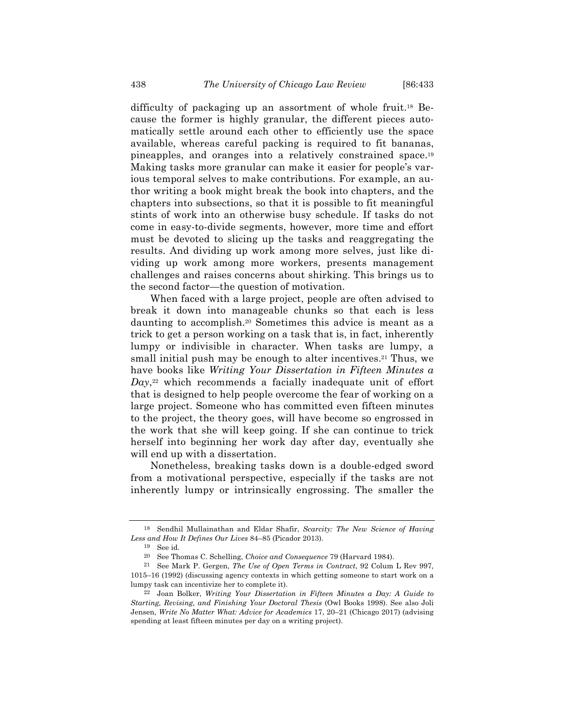difficulty of packaging up an assortment of whole fruit.18 Because the former is highly granular, the different pieces automatically settle around each other to efficiently use the space available, whereas careful packing is required to fit bananas, pineapples, and oranges into a relatively constrained space.19 Making tasks more granular can make it easier for people's various temporal selves to make contributions. For example, an author writing a book might break the book into chapters, and the chapters into subsections, so that it is possible to fit meaningful stints of work into an otherwise busy schedule. If tasks do not come in easy-to-divide segments, however, more time and effort must be devoted to slicing up the tasks and reaggregating the results. And dividing up work among more selves, just like dividing up work among more workers, presents management challenges and raises concerns about shirking. This brings us to the second factor—the question of motivation.

When faced with a large project, people are often advised to break it down into manageable chunks so that each is less daunting to accomplish.20 Sometimes this advice is meant as a trick to get a person working on a task that is, in fact, inherently lumpy or indivisible in character. When tasks are lumpy, a small initial push may be enough to alter incentives.<sup>21</sup> Thus, we have books like *Writing Your Dissertation in Fifteen Minutes a Day*,<sup>22</sup> which recommends a facially inadequate unit of effort that is designed to help people overcome the fear of working on a large project. Someone who has committed even fifteen minutes to the project, the theory goes, will have become so engrossed in the work that she will keep going. If she can continue to trick herself into beginning her work day after day, eventually she will end up with a dissertation.

Nonetheless, breaking tasks down is a double-edged sword from a motivational perspective, especially if the tasks are not inherently lumpy or intrinsically engrossing. The smaller the

<sup>18</sup> Sendhil Mullainathan and Eldar Shafir, *Scarcity: The New Science of Having Less and How It Defines Our Lives* 84–85 (Picador 2013).

<sup>19</sup> See id.

<sup>20</sup> See Thomas C. Schelling, *Choice and Consequence* 79 (Harvard 1984).

<sup>21</sup> See Mark P. Gergen, *The Use of Open Terms in Contract*, 92 Colum L Rev 997, 1015–16 (1992) (discussing agency contexts in which getting someone to start work on a lumpy task can incentivize her to complete it).

<sup>22</sup> Joan Bolker, *Writing Your Dissertation in Fifteen Minutes a Day: A Guide to Starting, Revising, and Finishing Your Doctoral Thesis* (Owl Books 1998). See also Joli Jensen, *Write No Matter What: Advice for Academics* 17, 20–21 (Chicago 2017) (advising spending at least fifteen minutes per day on a writing project).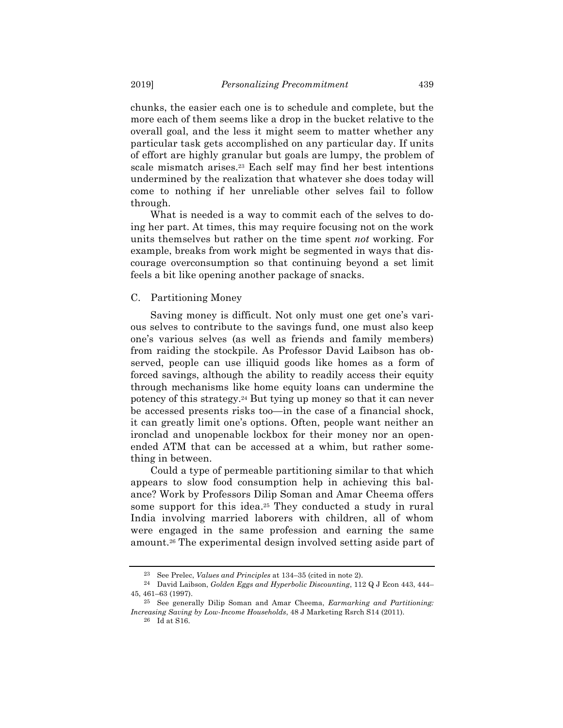chunks, the easier each one is to schedule and complete, but the more each of them seems like a drop in the bucket relative to the overall goal, and the less it might seem to matter whether any particular task gets accomplished on any particular day. If units of effort are highly granular but goals are lumpy, the problem of scale mismatch arises.23 Each self may find her best intentions undermined by the realization that whatever she does today will come to nothing if her unreliable other selves fail to follow through.

What is needed is a way to commit each of the selves to doing her part. At times, this may require focusing not on the work units themselves but rather on the time spent *not* working. For example, breaks from work might be segmented in ways that discourage overconsumption so that continuing beyond a set limit feels a bit like opening another package of snacks.

#### C. Partitioning Money

Saving money is difficult. Not only must one get one's various selves to contribute to the savings fund, one must also keep one's various selves (as well as friends and family members) from raiding the stockpile. As Professor David Laibson has observed, people can use illiquid goods like homes as a form of forced savings, although the ability to readily access their equity through mechanisms like home equity loans can undermine the potency of this strategy.24 But tying up money so that it can never be accessed presents risks too—in the case of a financial shock, it can greatly limit one's options. Often, people want neither an ironclad and unopenable lockbox for their money nor an openended ATM that can be accessed at a whim, but rather something in between.

Could a type of permeable partitioning similar to that which appears to slow food consumption help in achieving this balance? Work by Professors Dilip Soman and Amar Cheema offers some support for this idea.<sup>25</sup> They conducted a study in rural India involving married laborers with children, all of whom were engaged in the same profession and earning the same amount.26 The experimental design involved setting aside part of

<sup>23</sup> See Prelec, *Values and Principles* at 134–35 (cited in note 2).

<sup>24</sup> David Laibson, *Golden Eggs and Hyperbolic Discounting*, 112 Q J Econ 443, 444– 45, 461–63 (1997).

<sup>25</sup> See generally Dilip Soman and Amar Cheema, *Earmarking and Partitioning: Increasing Saving by Low-Income Households*, 48 J Marketing Rsrch S14 (2011).

<sup>26</sup> Id at S16.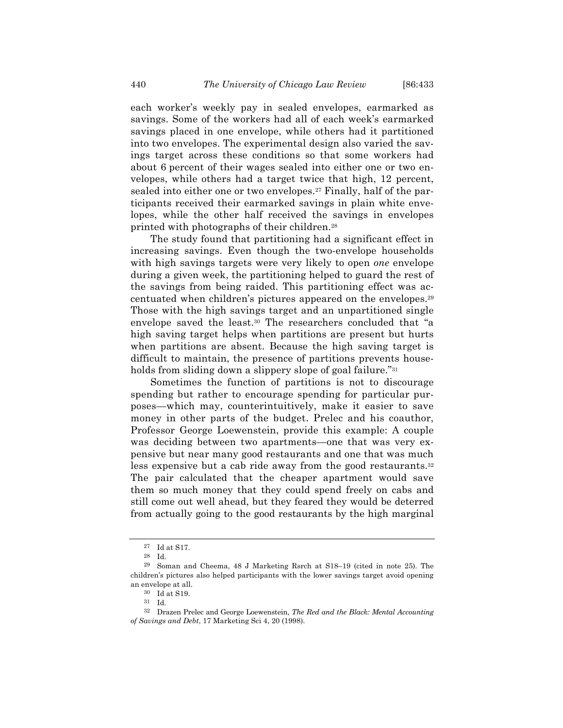each worker's weekly pay in sealed envelopes, earmarked as savings. Some of the workers had all of each week's earmarked savings placed in one envelope, while others had it partitioned into two envelopes. The experimental design also varied the savings target across these conditions so that some workers had about 6 percent of their wages sealed into either one or two envelopes, while others had a target twice that high, 12 percent, sealed into either one or two envelopes.27 Finally, half of the participants received their earmarked savings in plain white envelopes, while the other half received the savings in envelopes printed with photographs of their children.28

The study found that partitioning had a significant effect in increasing savings. Even though the two-envelope households with high savings targets were very likely to open *one* envelope during a given week, the partitioning helped to guard the rest of the savings from being raided. This partitioning effect was accentuated when children's pictures appeared on the envelopes.29 Those with the high savings target and an unpartitioned single envelope saved the least.30 The researchers concluded that "a high saving target helps when partitions are present but hurts when partitions are absent. Because the high saving target is difficult to maintain, the presence of partitions prevents households from sliding down a slippery slope of goal failure."<sup>31</sup>

Sometimes the function of partitions is not to discourage spending but rather to encourage spending for particular purposes—which may, counterintuitively, make it easier to save money in other parts of the budget. Prelec and his coauthor, Professor George Loewenstein, provide this example: A couple was deciding between two apartments—one that was very expensive but near many good restaurants and one that was much less expensive but a cab ride away from the good restaurants.<sup>32</sup> The pair calculated that the cheaper apartment would save them so much money that they could spend freely on cabs and still come out well ahead, but they feared they would be deterred from actually going to the good restaurants by the high marginal

<sup>27</sup> Id at S17.

<sup>28</sup> Id.

<sup>29</sup> Soman and Cheema, 48 J Marketing Rsrch at S18–19 (cited in note 25). The children's pictures also helped participants with the lower savings target avoid opening an envelope at all.

 $30\;$  Id at S19.

<sup>31</sup> Id.

<sup>32</sup> Drazen Prelec and George Loewenstein, *The Red and the Black: Mental Accounting of Savings and Debt*, 17 Marketing Sci 4, 20 (1998).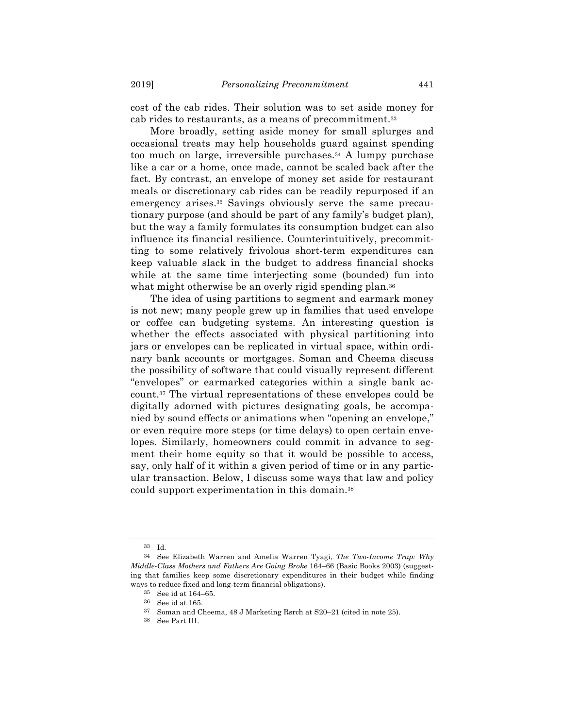cost of the cab rides. Their solution was to set aside money for cab rides to restaurants, as a means of precommitment.33

More broadly, setting aside money for small splurges and occasional treats may help households guard against spending too much on large, irreversible purchases.34 A lumpy purchase like a car or a home, once made, cannot be scaled back after the fact. By contrast, an envelope of money set aside for restaurant meals or discretionary cab rides can be readily repurposed if an emergency arises.35 Savings obviously serve the same precautionary purpose (and should be part of any family's budget plan), but the way a family formulates its consumption budget can also influence its financial resilience. Counterintuitively, precommitting to some relatively frivolous short-term expenditures can keep valuable slack in the budget to address financial shocks while at the same time interjecting some (bounded) fun into what might otherwise be an overly rigid spending plan.<sup>36</sup>

The idea of using partitions to segment and earmark money is not new; many people grew up in families that used envelope or coffee can budgeting systems. An interesting question is whether the effects associated with physical partitioning into jars or envelopes can be replicated in virtual space, within ordinary bank accounts or mortgages. Soman and Cheema discuss the possibility of software that could visually represent different "envelopes" or earmarked categories within a single bank account.37 The virtual representations of these envelopes could be digitally adorned with pictures designating goals, be accompanied by sound effects or animations when "opening an envelope," or even require more steps (or time delays) to open certain envelopes. Similarly, homeowners could commit in advance to segment their home equity so that it would be possible to access, say, only half of it within a given period of time or in any particular transaction. Below, I discuss some ways that law and policy could support experimentation in this domain.38

<sup>33</sup> Id.

<sup>34</sup> See Elizabeth Warren and Amelia Warren Tyagi, *The Two-Income Trap: Why Middle-Class Mothers and Fathers Are Going Broke* 164–66 (Basic Books 2003) (suggesting that families keep some discretionary expenditures in their budget while finding ways to reduce fixed and long-term financial obligations).

<sup>35</sup> See id at 164–65.

<sup>36</sup> See id at 165.

<sup>37</sup> Soman and Cheema, 48 J Marketing Rsrch at S20–21 (cited in note 25).

<sup>38</sup> See Part III.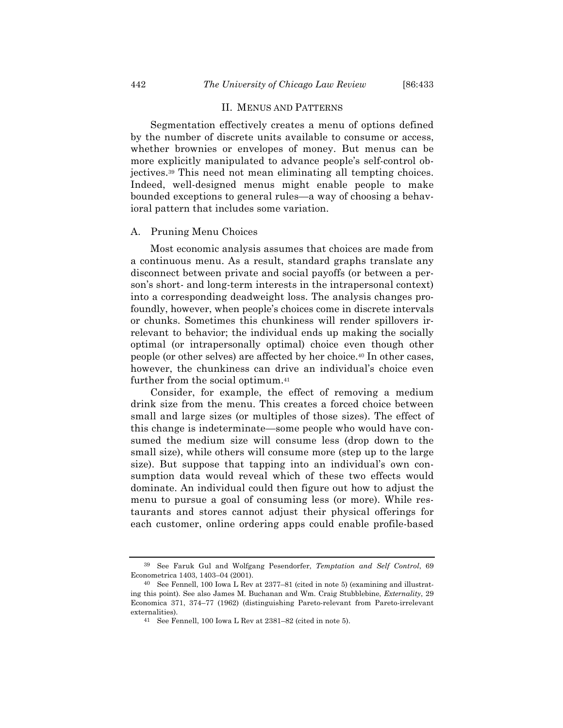#### II. MENUS AND PATTERNS

Segmentation effectively creates a menu of options defined by the number of discrete units available to consume or access, whether brownies or envelopes of money. But menus can be more explicitly manipulated to advance people's self-control objectives.39 This need not mean eliminating all tempting choices. Indeed, well-designed menus might enable people to make bounded exceptions to general rules—a way of choosing a behavioral pattern that includes some variation.

#### A. Pruning Menu Choices

Most economic analysis assumes that choices are made from a continuous menu. As a result, standard graphs translate any disconnect between private and social payoffs (or between a person's short- and long-term interests in the intrapersonal context) into a corresponding deadweight loss. The analysis changes profoundly, however, when people's choices come in discrete intervals or chunks. Sometimes this chunkiness will render spillovers irrelevant to behavior; the individual ends up making the socially optimal (or intrapersonally optimal) choice even though other people (or other selves) are affected by her choice.40 In other cases, however, the chunkiness can drive an individual's choice even further from the social optimum.41

Consider, for example, the effect of removing a medium drink size from the menu. This creates a forced choice between small and large sizes (or multiples of those sizes). The effect of this change is indeterminate—some people who would have consumed the medium size will consume less (drop down to the small size), while others will consume more (step up to the large size). But suppose that tapping into an individual's own consumption data would reveal which of these two effects would dominate. An individual could then figure out how to adjust the menu to pursue a goal of consuming less (or more). While restaurants and stores cannot adjust their physical offerings for each customer, online ordering apps could enable profile-based

<sup>39</sup> See Faruk Gul and Wolfgang Pesendorfer, *Temptation and Self Control*, 69 Econometrica 1403, 1403–04 (2001).

<sup>40</sup> See Fennell, 100 Iowa L Rev at 2377–81 (cited in note 5) (examining and illustrating this point). See also James M. Buchanan and Wm. Craig Stubblebine, *Externality*, 29 Economica 371, 374–77 (1962) (distinguishing Pareto-relevant from Pareto-irrelevant externalities).

<sup>41</sup> See Fennell, 100 Iowa L Rev at 2381–82 (cited in note 5).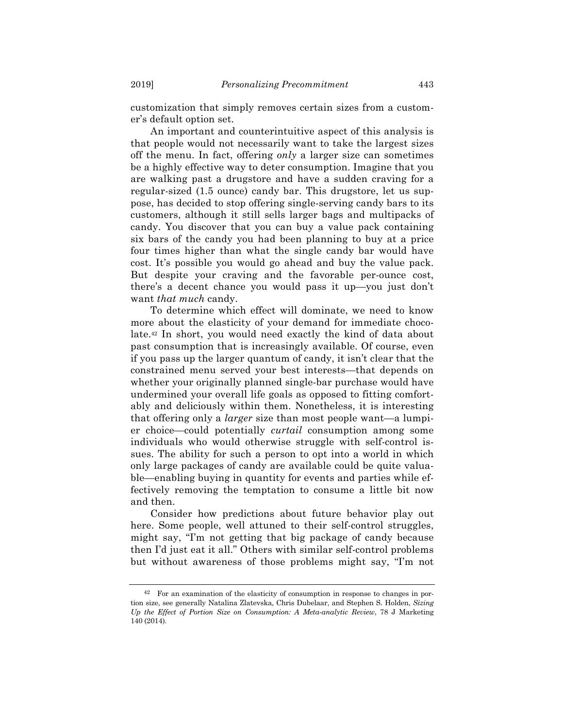customization that simply removes certain sizes from a customer's default option set.

An important and counterintuitive aspect of this analysis is that people would not necessarily want to take the largest sizes off the menu. In fact, offering *only* a larger size can sometimes be a highly effective way to deter consumption. Imagine that you are walking past a drugstore and have a sudden craving for a regular-sized (1.5 ounce) candy bar. This drugstore, let us suppose, has decided to stop offering single-serving candy bars to its customers, although it still sells larger bags and multipacks of candy. You discover that you can buy a value pack containing six bars of the candy you had been planning to buy at a price four times higher than what the single candy bar would have cost. It's possible you would go ahead and buy the value pack. But despite your craving and the favorable per-ounce cost, there's a decent chance you would pass it up—you just don't want *that much* candy.

To determine which effect will dominate, we need to know more about the elasticity of your demand for immediate chocolate.42 In short, you would need exactly the kind of data about past consumption that is increasingly available. Of course, even if you pass up the larger quantum of candy, it isn't clear that the constrained menu served your best interests—that depends on whether your originally planned single-bar purchase would have undermined your overall life goals as opposed to fitting comfortably and deliciously within them. Nonetheless, it is interesting that offering only a *larger* size than most people want—a lumpier choice—could potentially *curtail* consumption among some individuals who would otherwise struggle with self-control issues. The ability for such a person to opt into a world in which only large packages of candy are available could be quite valuable—enabling buying in quantity for events and parties while effectively removing the temptation to consume a little bit now and then.

Consider how predictions about future behavior play out here. Some people, well attuned to their self-control struggles, might say, "I'm not getting that big package of candy because then I'd just eat it all." Others with similar self-control problems but without awareness of those problems might say, "I'm not

<sup>42</sup> For an examination of the elasticity of consumption in response to changes in portion size, see generally Natalina Zlatevska, Chris Dubelaar, and Stephen S. Holden, *Sizing Up the Effect of Portion Size on Consumption: A Meta-analytic Review*, 78 J Marketing 140 (2014).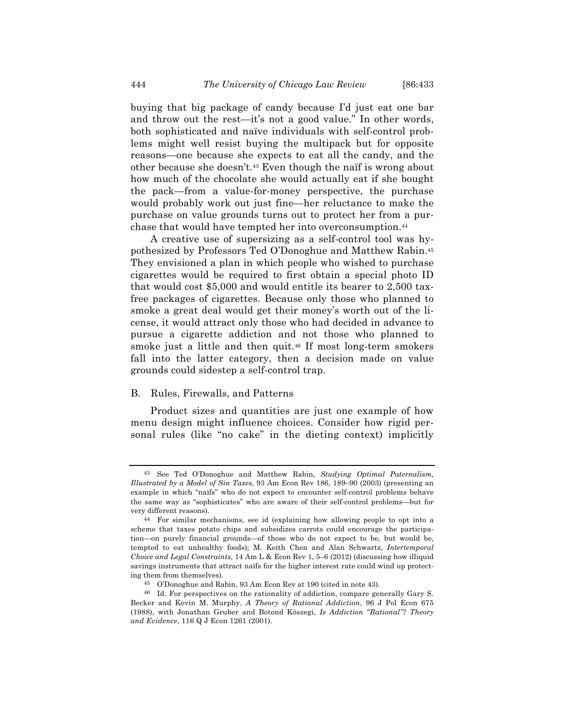buying that big package of candy because I'd just eat one bar and throw out the rest—it's not a good value." In other words, both sophisticated and naïve individuals with self-control problems might well resist buying the multipack but for opposite reasons—one because she expects to eat all the candy, and the other because she doesn't.43 Even though the naïf is wrong about how much of the chocolate she would actually eat if she bought the pack—from a value-for-money perspective, the purchase would probably work out just fine—her reluctance to make the purchase on value grounds turns out to protect her from a purchase that would have tempted her into overconsumption.44

A creative use of supersizing as a self-control tool was hypothesized by Professors Ted O'Donoghue and Matthew Rabin.45 They envisioned a plan in which people who wished to purchase cigarettes would be required to first obtain a special photo ID that would cost \$5,000 and would entitle its bearer to 2,500 taxfree packages of cigarettes. Because only those who planned to smoke a great deal would get their money's worth out of the license, it would attract only those who had decided in advance to pursue a cigarette addiction and not those who planned to smoke just a little and then quit.46 If most long-term smokers fall into the latter category, then a decision made on value grounds could sidestep a self-control trap.

#### B. Rules, Firewalls, and Patterns

Product sizes and quantities are just one example of how menu design might influence choices. Consider how rigid personal rules (like "no cake" in the dieting context) implicitly

<sup>43</sup> See Ted O'Donoghue and Matthew Rabin, *Studying Optimal Paternalism, Illustrated by a Model of Sin Taxes*, 93 Am Econ Rev 186, 189–90 (2003) (presenting an example in which "naïfs" who do not expect to encounter self-control problems behave the same way as "sophisticates" who are aware of their self-control problems—but for very different reasons).

<sup>44</sup> For similar mechanisms, see id (explaining how allowing people to opt into a scheme that taxes potato chips and subsidizes carrots could encourage the participation—on purely financial grounds—of those who do not expect to be, but would be, tempted to eat unhealthy foods); M. Keith Chen and Alan Schwartz, *Intertemporal Choice and Legal Constraints*, 14 Am L & Econ Rev 1, 5–6 (2012) (discussing how illiquid savings instruments that attract naïfs for the higher interest rate could wind up protecting them from themselves).

<sup>45</sup> O'Donoghue and Rabin, 93 Am Econ Rev at 190 (cited in note 43).

<sup>46</sup> Id. For perspectives on the rationality of addiction, compare generally Gary S. Becker and Kevin M. Murphy, *A Theory of Rational Addiction*, 96 J Pol Econ 675 (1988), with Jonathan Gruber and Botond Köszegi, *Is Addiction "Rational"? Theory and Evidence*, 116 Q J Econ 1261 (2001).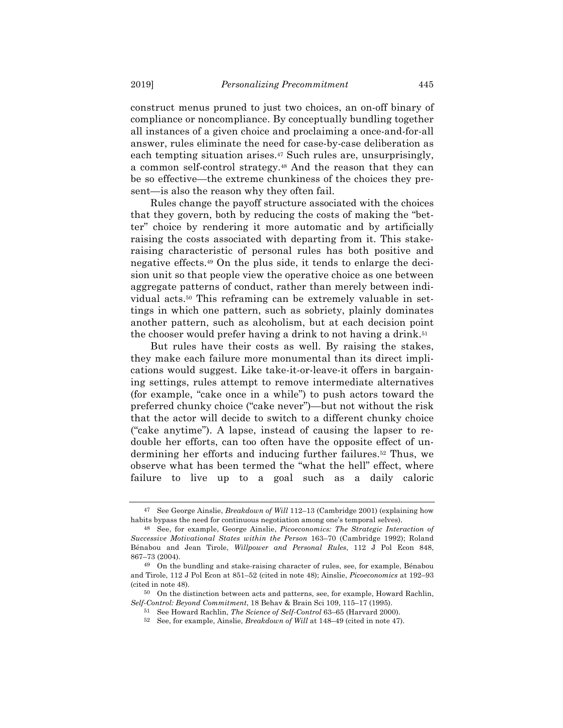construct menus pruned to just two choices, an on-off binary of compliance or noncompliance. By conceptually bundling together all instances of a given choice and proclaiming a once-and-for-all answer, rules eliminate the need for case-by-case deliberation as each tempting situation arises.47 Such rules are, unsurprisingly, a common self-control strategy.48 And the reason that they can be so effective—the extreme chunkiness of the choices they present—is also the reason why they often fail.

Rules change the payoff structure associated with the choices that they govern, both by reducing the costs of making the "better" choice by rendering it more automatic and by artificially raising the costs associated with departing from it. This stakeraising characteristic of personal rules has both positive and negative effects.49 On the plus side, it tends to enlarge the decision unit so that people view the operative choice as one between aggregate patterns of conduct, rather than merely between individual acts.50 This reframing can be extremely valuable in settings in which one pattern, such as sobriety, plainly dominates another pattern, such as alcoholism, but at each decision point the chooser would prefer having a drink to not having a drink.<sup>51</sup>

But rules have their costs as well. By raising the stakes, they make each failure more monumental than its direct implications would suggest. Like take-it-or-leave-it offers in bargaining settings, rules attempt to remove intermediate alternatives (for example, "cake once in a while") to push actors toward the preferred chunky choice ("cake never")—but not without the risk that the actor will decide to switch to a different chunky choice ("cake anytime"). A lapse, instead of causing the lapser to redouble her efforts, can too often have the opposite effect of undermining her efforts and inducing further failures.<sup>52</sup> Thus, we observe what has been termed the "what the hell" effect, where failure to live up to a goal such as a daily caloric

<sup>47</sup> See George Ainslie, *Breakdown of Will* 112–13 (Cambridge 2001) (explaining how habits bypass the need for continuous negotiation among one's temporal selves).

<sup>48</sup> See, for example, George Ainslie, *Picoeconomics: The Strategic Interaction of Successive Motivational States within the Person* 163–70 (Cambridge 1992); Roland Bénabou and Jean Tirole, *Willpower and Personal Rules*, 112 J Pol Econ 848, 867–73 (2004).

<sup>49</sup> On the bundling and stake-raising character of rules, see, for example, Bénabou and Tirole, 112 J Pol Econ at 851–52 (cited in note 48); Ainslie, *Picoeconomics* at 192–93 (cited in note 48).

<sup>50</sup> On the distinction between acts and patterns, see, for example, Howard Rachlin, *Self-Control: Beyond Commitment*, 18 Behav & Brain Sci 109, 115–17 (1995).

<sup>51</sup> See Howard Rachlin, *The Science of Self-Control* 63–65 (Harvard 2000).

<sup>52</sup> See, for example, Ainslie, *Breakdown of Will* at 148–49 (cited in note 47).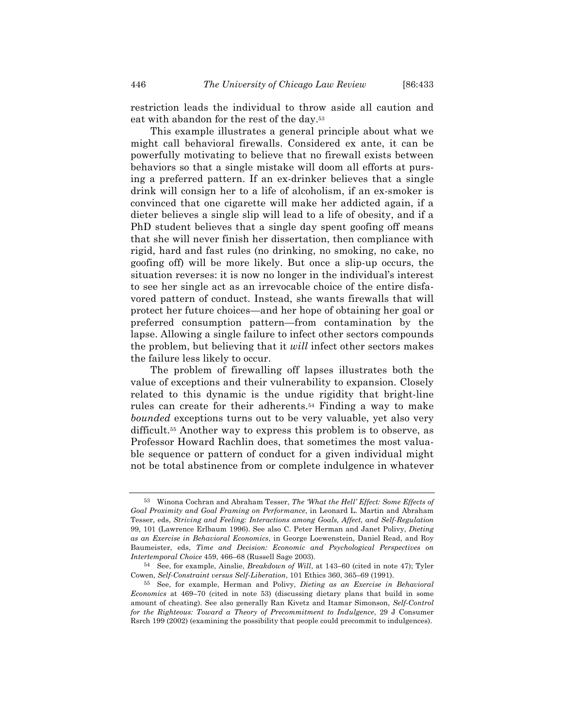restriction leads the individual to throw aside all caution and eat with abandon for the rest of the day.53

This example illustrates a general principle about what we might call behavioral firewalls. Considered ex ante, it can be powerfully motivating to believe that no firewall exists between behaviors so that a single mistake will doom all efforts at pursing a preferred pattern. If an ex-drinker believes that a single drink will consign her to a life of alcoholism, if an ex-smoker is convinced that one cigarette will make her addicted again, if a dieter believes a single slip will lead to a life of obesity, and if a PhD student believes that a single day spent goofing off means that she will never finish her dissertation, then compliance with rigid, hard and fast rules (no drinking, no smoking, no cake, no goofing off) will be more likely. But once a slip-up occurs, the situation reverses: it is now no longer in the individual's interest to see her single act as an irrevocable choice of the entire disfavored pattern of conduct. Instead, she wants firewalls that will protect her future choices—and her hope of obtaining her goal or preferred consumption pattern—from contamination by the lapse. Allowing a single failure to infect other sectors compounds the problem, but believing that it *will* infect other sectors makes the failure less likely to occur.

The problem of firewalling off lapses illustrates both the value of exceptions and their vulnerability to expansion. Closely related to this dynamic is the undue rigidity that bright-line rules can create for their adherents.54 Finding a way to make *bounded* exceptions turns out to be very valuable, yet also very difficult.55 Another way to express this problem is to observe, as Professor Howard Rachlin does, that sometimes the most valuable sequence or pattern of conduct for a given individual might not be total abstinence from or complete indulgence in whatever

<sup>53</sup> Winona Cochran and Abraham Tesser, *The 'What the Hell' Effect: Some Effects of Goal Proximity and Goal Framing on Performance*, in Leonard L. Martin and Abraham Tesser, eds, *Striving and Feeling: Interactions among Goals, Affect, and Self-Regulation* 99, 101 (Lawrence Erlbaum 1996). See also C. Peter Herman and Janet Polivy, *Dieting as an Exercise in Behavioral Economics*, in George Loewenstein, Daniel Read, and Roy Baumeister, eds, *Time and Decision: Economic and Psychological Perspectives on Intertemporal Choice* 459, 466–68 (Russell Sage 2003).

<sup>54</sup> See, for example, Ainslie, *Breakdown of Will*, at 143–60 (cited in note 47); Tyler Cowen, *Self-Constraint versus Self-Liberation*, 101 Ethics 360, 365–69 (1991).

<sup>55</sup> See, for example, Herman and Polivy, *Dieting as an Exercise in Behavioral Economics* at 469–70 (cited in note 53) (discussing dietary plans that build in some amount of cheating). See also generally Ran Kivetz and Itamar Simonson, *Self-Control for the Righteous: Toward a Theory of Precommitment to Indulgence*, 29 J Consumer Rsrch 199 (2002) (examining the possibility that people could precommit to indulgences).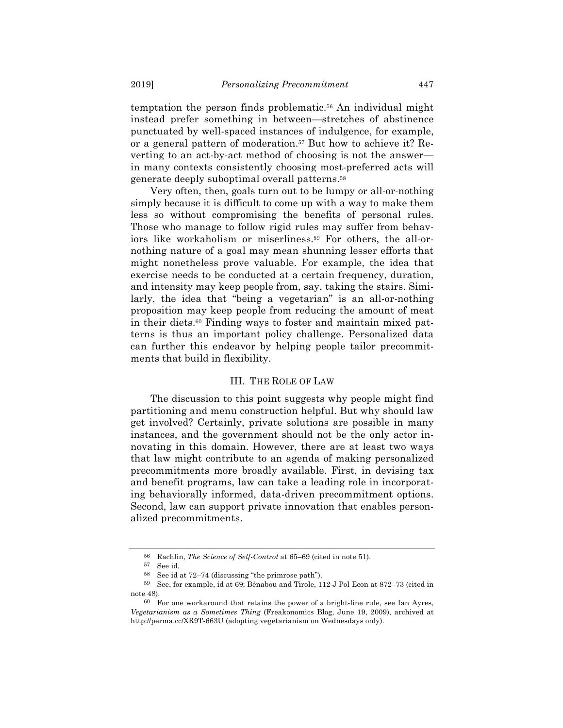temptation the person finds problematic.56 An individual might instead prefer something in between—stretches of abstinence punctuated by well-spaced instances of indulgence, for example, or a general pattern of moderation.57 But how to achieve it? Reverting to an act-by-act method of choosing is not the answer in many contexts consistently choosing most-preferred acts will generate deeply suboptimal overall patterns.58

Very often, then, goals turn out to be lumpy or all-or-nothing simply because it is difficult to come up with a way to make them less so without compromising the benefits of personal rules. Those who manage to follow rigid rules may suffer from behaviors like workaholism or miserliness.59 For others, the all-ornothing nature of a goal may mean shunning lesser efforts that might nonetheless prove valuable. For example, the idea that exercise needs to be conducted at a certain frequency, duration, and intensity may keep people from, say, taking the stairs. Similarly, the idea that "being a vegetarian" is an all-or-nothing proposition may keep people from reducing the amount of meat in their diets.60 Finding ways to foster and maintain mixed patterns is thus an important policy challenge. Personalized data can further this endeavor by helping people tailor precommitments that build in flexibility.

#### III. THE ROLE OF LAW

The discussion to this point suggests why people might find partitioning and menu construction helpful. But why should law get involved? Certainly, private solutions are possible in many instances, and the government should not be the only actor innovating in this domain. However, there are at least two ways that law might contribute to an agenda of making personalized precommitments more broadly available. First, in devising tax and benefit programs, law can take a leading role in incorporating behaviorally informed, data-driven precommitment options. Second, law can support private innovation that enables personalized precommitments.

<sup>56</sup> Rachlin, *The Science of Self-Control* at 65–69 (cited in note 51).

<sup>57</sup> See id.

<sup>58</sup> See id at 72–74 (discussing "the primrose path").

<sup>59</sup> See, for example, id at 69; Bénabou and Tirole, 112 J Pol Econ at 872–73 (cited in note 48).

<sup>60</sup> For one workaround that retains the power of a bright-line rule, see Ian Ayres, *Vegetarianism as a Sometimes Thing* (Freakonomics Blog, June 19, 2009), archived at http://perma.cc/XR9T-663U (adopting vegetarianism on Wednesdays only).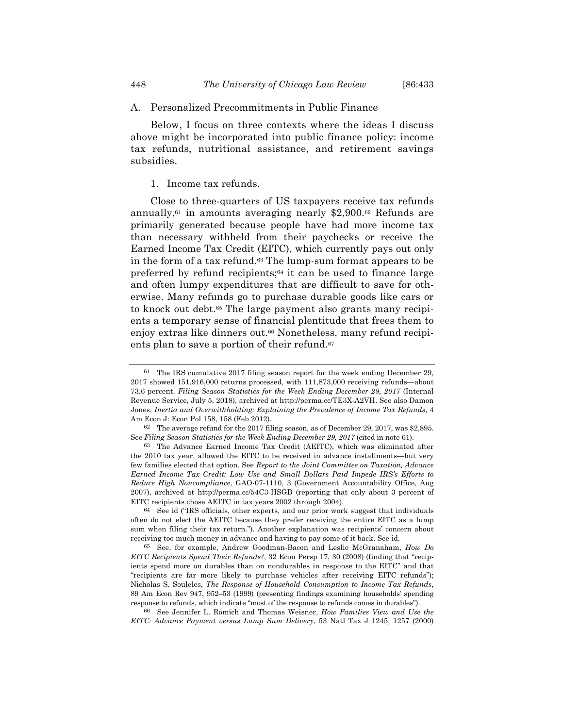#### A. Personalized Precommitments in Public Finance

Below, I focus on three contexts where the ideas I discuss above might be incorporated into public finance policy: income tax refunds, nutritional assistance, and retirement savings subsidies.

#### 1. Income tax refunds.

Close to three-quarters of US taxpayers receive tax refunds annually,<sup> $61$ </sup> in amounts averaging nearly \$2,900.<sup> $62$ </sup> Refunds are primarily generated because people have had more income tax than necessary withheld from their paychecks or receive the Earned Income Tax Credit (EITC), which currently pays out only in the form of a tax refund.<sup>63</sup> The lump-sum format appears to be preferred by refund recipients;<sup>64</sup> it can be used to finance large and often lumpy expenditures that are difficult to save for otherwise. Many refunds go to purchase durable goods like cars or to knock out debt.65 The large payment also grants many recipients a temporary sense of financial plentitude that frees them to enjoy extras like dinners out.66 Nonetheless, many refund recipients plan to save a portion of their refund.<sup>67</sup>

<sup>61</sup> The IRS cumulative 2017 filing season report for the week ending December 29, 2017 showed 151,916,000 returns processed, with 111,873,000 receiving refunds—about 73.6 percent. *Filing Season Statistics for the Week Ending December 29, 2017* (Internal Revenue Service, July 5, 2018), archived at http://perma.cc/TE3X-A2VH. See also Damon Jones, *Inertia and Overwithholding: Explaining the Prevalence of Income Tax Refunds*, 4 Am Econ J: Econ Pol 158, 158 (Feb 2012).

<sup>62</sup> The average refund for the 2017 filing season, as of December 29, 2017, was \$2,895. See *Filing Season Statistics for the Week Ending December 29, 2017* (cited in note 61).

<sup>63</sup> The Advance Earned Income Tax Credit (AEITC), which was eliminated after the 2010 tax year, allowed the EITC to be received in advance installments—but very few families elected that option. See *Report to the Joint Committee on Taxation, Advance Earned Income Tax Credit: Low Use and Small Dollars Paid Impede IRS's Efforts to Reduce High Noncompliance*, GAO-07-1110, 3 (Government Accountability Office, Aug 2007), archived at http://perma.cc/54C3-HSGB (reporting that only about 3 percent of EITC recipients chose AEITC in tax years 2002 through 2004).

<sup>64</sup> See id ("IRS officials, other experts, and our prior work suggest that individuals often do not elect the AEITC because they prefer receiving the entire EITC as a lump sum when filing their tax return."). Another explanation was recipients' concern about receiving too much money in advance and having to pay some of it back. See id.

<sup>65</sup> See, for example, Andrew Goodman-Bacon and Leslie McGranaham, *How Do EITC Recipients Spend Their Refunds?*, 32 Econ Persp 17, 30 (2008) (finding that "recipients spend more on durables than on nondurables in response to the EITC" and that "recipients are far more likely to purchase vehicles after receiving EITC refunds"); Nicholas S. Souleles, *The Response of Household Consumption to Income Tax Refunds*, 89 Am Econ Rev 947, 952–53 (1999) (presenting findings examining households' spending response to refunds, which indicate "most of the response to refunds comes in durables").

<sup>66</sup> See Jennifer L. Romich and Thomas Weisner, *How Families View and Use the EITC: Advance Payment versus Lump Sum Delivery*, 53 Natl Tax J 1245, 1257 (2000)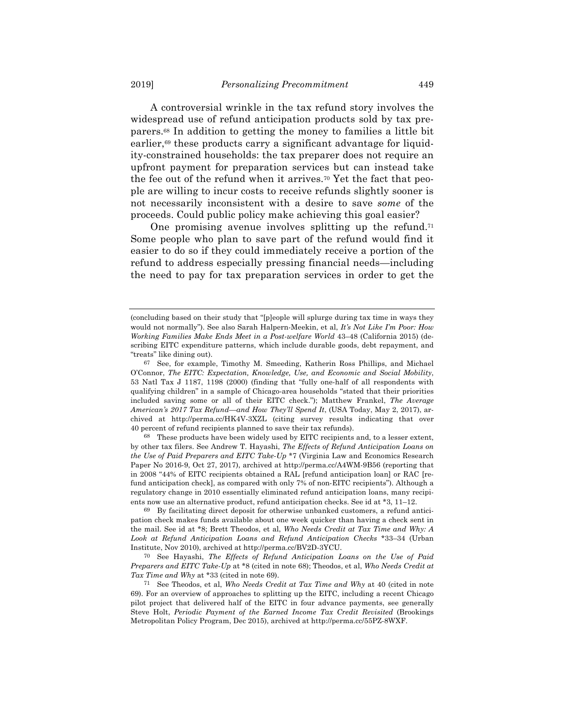A controversial wrinkle in the tax refund story involves the widespread use of refund anticipation products sold by tax preparers.68 In addition to getting the money to families a little bit earlier,<sup>69</sup> these products carry a significant advantage for liquidity-constrained households: the tax preparer does not require an upfront payment for preparation services but can instead take the fee out of the refund when it arrives.70 Yet the fact that people are willing to incur costs to receive refunds slightly sooner is not necessarily inconsistent with a desire to save *some* of the proceeds. Could public policy make achieving this goal easier?

One promising avenue involves splitting up the refund.<sup>71</sup> Some people who plan to save part of the refund would find it easier to do so if they could immediately receive a portion of the refund to address especially pressing financial needs—including the need to pay for tax preparation services in order to get the

68 These products have been widely used by EITC recipients and, to a lesser extent, by other tax filers. See Andrew T. Hayashi, *The Effects of Refund Anticipation Loans on the Use of Paid Preparers and EITC Take-Up* \*7 (Virginia Law and Economics Research Paper No 2016-9, Oct 27, 2017), archived at http://perma.cc/A4WM-9B56 (reporting that in 2008 "44% of EITC recipients obtained a RAL [refund anticipation loan] or RAC [refund anticipation check], as compared with only 7% of non-EITC recipients"). Although a regulatory change in 2010 essentially eliminated refund anticipation loans, many recipients now use an alternative product, refund anticipation checks. See id at \*3, 11–12.

69 By facilitating direct deposit for otherwise unbanked customers, a refund anticipation check makes funds available about one week quicker than having a check sent in the mail. See id at \*8; Brett Theodos, et al, *Who Needs Credit at Tax Time and Why: A Look at Refund Anticipation Loans and Refund Anticipation Checks* \*33–34 (Urban Institute, Nov 2010), archived at http://perma.cc/BV2D-3YCU.

70 See Hayashi, *The Effects of Refund Anticipation Loans on the Use of Paid Preparers and EITC Take-Up* at \*8 (cited in note 68); Theodos, et al, *Who Needs Credit at Tax Time and Why* at \*33 (cited in note 69).

<sup>(</sup>concluding based on their study that "[p]eople will splurge during tax time in ways they would not normally"). See also Sarah Halpern-Meekin, et al, *It's Not Like I'm Poor: How Working Families Make Ends Meet in a Post-welfare World* 43–48 (California 2015) (describing EITC expenditure patterns, which include durable goods, debt repayment, and "treats" like dining out).

<sup>67</sup> See, for example, Timothy M. Smeeding, Katherin Ross Phillips, and Michael O'Connor, *The EITC: Expectation, Knowledge, Use, and Economic and Social Mobility*, 53 Natl Tax J 1187, 1198 (2000) (finding that "fully one-half of all respondents with qualifying children" in a sample of Chicago-area households "stated that their priorities included saving some or all of their EITC check."); Matthew Frankel, *The Average American's 2017 Tax Refund—and How They'll Spend It*, (USA Today, May 2, 2017), archived at http://perma.cc/HK4V-3XZL (citing survey results indicating that over 40 percent of refund recipients planned to save their tax refunds).

<sup>71</sup> See Theodos, et al, *Who Needs Credit at Tax Time and Why* at 40 (cited in note 69). For an overview of approaches to splitting up the EITC, including a recent Chicago pilot project that delivered half of the EITC in four advance payments, see generally Steve Holt, *Periodic Payment of the Earned Income Tax Credit Revisited* (Brookings Metropolitan Policy Program, Dec 2015), archived at http://perma.cc/55PZ-8WXF.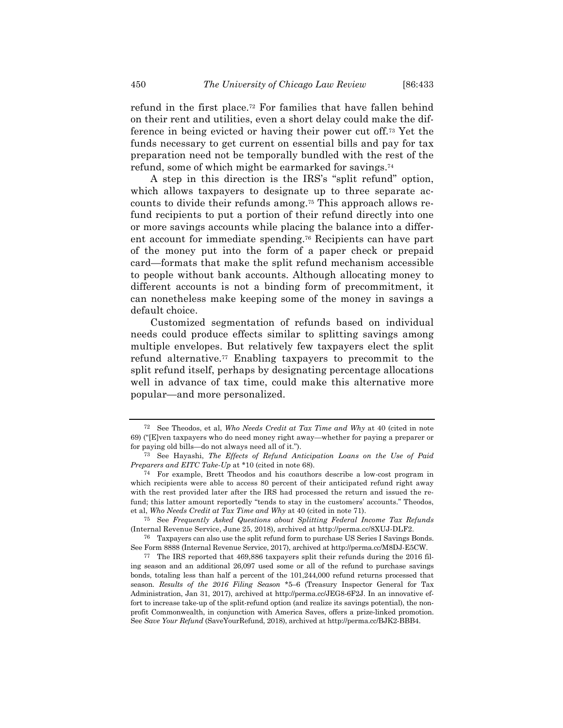refund in the first place.72 For families that have fallen behind on their rent and utilities, even a short delay could make the difference in being evicted or having their power cut off.73 Yet the funds necessary to get current on essential bills and pay for tax preparation need not be temporally bundled with the rest of the refund, some of which might be earmarked for savings.74

A step in this direction is the IRS's "split refund" option, which allows taxpayers to designate up to three separate accounts to divide their refunds among.75 This approach allows refund recipients to put a portion of their refund directly into one or more savings accounts while placing the balance into a different account for immediate spending.76 Recipients can have part of the money put into the form of a paper check or prepaid card—formats that make the split refund mechanism accessible to people without bank accounts. Although allocating money to different accounts is not a binding form of precommitment, it can nonetheless make keeping some of the money in savings a default choice.

Customized segmentation of refunds based on individual needs could produce effects similar to splitting savings among multiple envelopes. But relatively few taxpayers elect the split refund alternative.77 Enabling taxpayers to precommit to the split refund itself, perhaps by designating percentage allocations well in advance of tax time, could make this alternative more popular—and more personalized.

<sup>72</sup> See Theodos, et al, *Who Needs Credit at Tax Time and Why* at 40 (cited in note 69) ("[E]ven taxpayers who do need money right away—whether for paying a preparer or for paying old bills—do not always need all of it.").

<sup>73</sup> See Hayashi, *The Effects of Refund Anticipation Loans on the Use of Paid Preparers and EITC Take-Up* at \*10 (cited in note 68).

<sup>74</sup> For example, Brett Theodos and his coauthors describe a low-cost program in which recipients were able to access 80 percent of their anticipated refund right away with the rest provided later after the IRS had processed the return and issued the refund; this latter amount reportedly "tends to stay in the customers' accounts." Theodos, et al, *Who Needs Credit at Tax Time and Why* at 40 (cited in note 71).

<sup>75</sup> See *Frequently Asked Questions about Splitting Federal Income Tax Refunds* (Internal Revenue Service, June 25, 2018), archived at http://perma.cc/8XUJ-DLF2.

<sup>76</sup> Taxpayers can also use the split refund form to purchase US Series I Savings Bonds. See Form 8888 (Internal Revenue Service, 2017), archived at http://perma.cc/M8DJ-E5CW.

<sup>77</sup> The IRS reported that 469,886 taxpayers split their refunds during the 2016 filing season and an additional 26,097 used some or all of the refund to purchase savings bonds, totaling less than half a percent of the 101,244,000 refund returns processed that season. *Results of the 2016 Filing Season* \*5–6 (Treasury Inspector General for Tax Administration, Jan 31, 2017), archived at http://perma.cc/JEG8-6F2J. In an innovative effort to increase take-up of the split-refund option (and realize its savings potential), the nonprofit Commonwealth, in conjunction with America Saves, offers a prize-linked promotion. See *Save Your Refund* (SaveYourRefund, 2018), archived at http://perma.cc/BJK2-BBB4.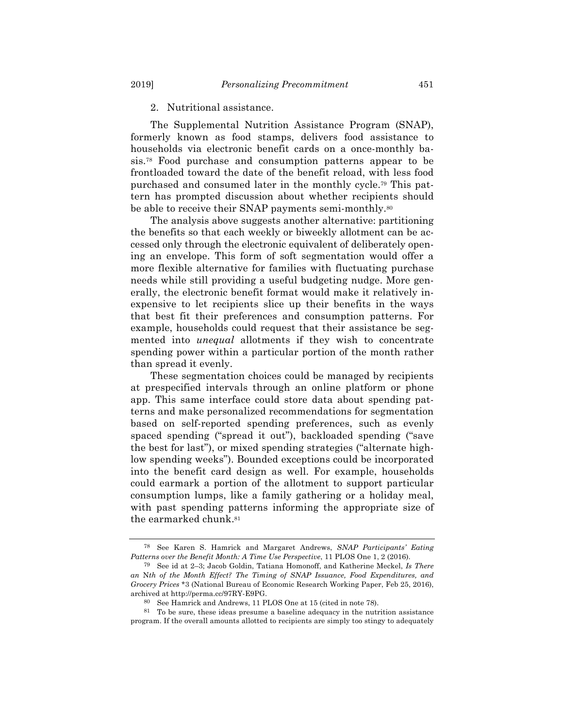#### 2. Nutritional assistance.

The Supplemental Nutrition Assistance Program (SNAP), formerly known as food stamps, delivers food assistance to households via electronic benefit cards on a once-monthly basis.78 Food purchase and consumption patterns appear to be frontloaded toward the date of the benefit reload, with less food purchased and consumed later in the monthly cycle.79 This pattern has prompted discussion about whether recipients should be able to receive their SNAP payments semi-monthly.80

The analysis above suggests another alternative: partitioning the benefits so that each weekly or biweekly allotment can be accessed only through the electronic equivalent of deliberately opening an envelope. This form of soft segmentation would offer a more flexible alternative for families with fluctuating purchase needs while still providing a useful budgeting nudge. More generally, the electronic benefit format would make it relatively inexpensive to let recipients slice up their benefits in the ways that best fit their preferences and consumption patterns. For example, households could request that their assistance be segmented into *unequal* allotments if they wish to concentrate spending power within a particular portion of the month rather than spread it evenly.

These segmentation choices could be managed by recipients at prespecified intervals through an online platform or phone app. This same interface could store data about spending patterns and make personalized recommendations for segmentation based on self-reported spending preferences, such as evenly spaced spending ("spread it out"), backloaded spending ("save the best for last"), or mixed spending strategies ("alternate highlow spending weeks"). Bounded exceptions could be incorporated into the benefit card design as well. For example, households could earmark a portion of the allotment to support particular consumption lumps, like a family gathering or a holiday meal, with past spending patterns informing the appropriate size of the earmarked chunk.81

<sup>78</sup> See Karen S. Hamrick and Margaret Andrews, *SNAP Participants' Eating Patterns over the Benefit Month: A Time Use Perspective*, 11 PLOS One 1, 2 (2016).

<sup>79</sup> See id at 2–3; Jacob Goldin, Tatiana Homonoff, and Katherine Meckel, *Is There an* N*th of the Month Effect? The Timing of SNAP Issuance, Food Expenditures, and Grocery Prices* \*3 (National Bureau of Economic Research Working Paper, Feb 25, 2016), archived at http://perma.cc/97RY-E9PG.

<sup>80</sup> See Hamrick and Andrews, 11 PLOS One at 15 (cited in note 78).

<sup>81</sup> To be sure, these ideas presume a baseline adequacy in the nutrition assistance program. If the overall amounts allotted to recipients are simply too stingy to adequately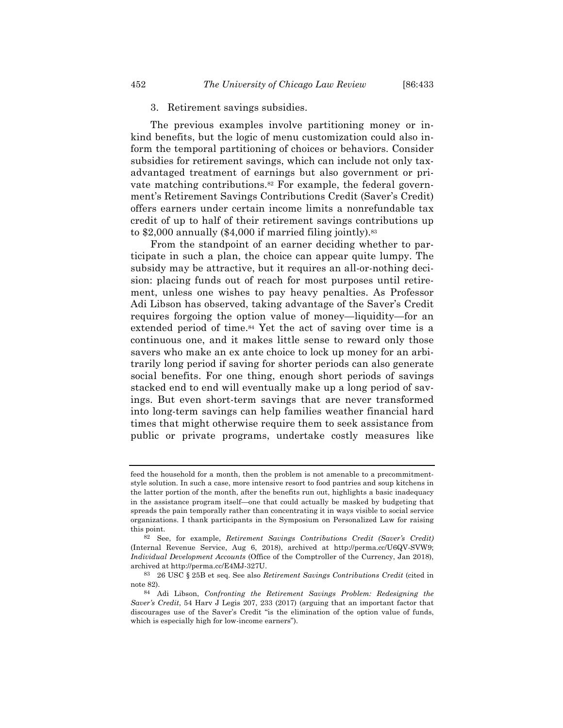#### 3. Retirement savings subsidies.

The previous examples involve partitioning money or inkind benefits, but the logic of menu customization could also inform the temporal partitioning of choices or behaviors. Consider subsidies for retirement savings, which can include not only taxadvantaged treatment of earnings but also government or private matching contributions.<sup>82</sup> For example, the federal government's Retirement Savings Contributions Credit (Saver's Credit) offers earners under certain income limits a nonrefundable tax credit of up to half of their retirement savings contributions up to  $$2,000$  annually  $$4,000$  if married filing jointly).<sup>83</sup>

From the standpoint of an earner deciding whether to participate in such a plan, the choice can appear quite lumpy. The subsidy may be attractive, but it requires an all-or-nothing decision: placing funds out of reach for most purposes until retirement, unless one wishes to pay heavy penalties. As Professor Adi Libson has observed, taking advantage of the Saver's Credit requires forgoing the option value of money—liquidity—for an extended period of time.<sup>84</sup> Yet the act of saving over time is a continuous one, and it makes little sense to reward only those savers who make an ex ante choice to lock up money for an arbitrarily long period if saving for shorter periods can also generate social benefits. For one thing, enough short periods of savings stacked end to end will eventually make up a long period of savings. But even short-term savings that are never transformed into long-term savings can help families weather financial hard times that might otherwise require them to seek assistance from public or private programs, undertake costly measures like

feed the household for a month, then the problem is not amenable to a precommitmentstyle solution. In such a case, more intensive resort to food pantries and soup kitchens in the latter portion of the month, after the benefits run out, highlights a basic inadequacy in the assistance program itself—one that could actually be masked by budgeting that spreads the pain temporally rather than concentrating it in ways visible to social service organizations. I thank participants in the Symposium on Personalized Law for raising this point.

<sup>82</sup> See, for example, *Retirement Savings Contributions Credit (Saver's Credit)* (Internal Revenue Service, Aug 6, 2018), archived at http://perma.cc/U6QV-SVW9; *Individual Development Accounts* (Office of the Comptroller of the Currency, Jan 2018), archived at http://perma.cc/E4MJ-327U.

<sup>83</sup> 26 USC § 25B et seq. See also *Retirement Savings Contributions Credit* (cited in note 82).

<sup>84</sup> Adi Libson, *Confronting the Retirement Savings Problem: Redesigning the Saver's Credit*, 54 Harv J Legis 207, 233 (2017) (arguing that an important factor that discourages use of the Saver's Credit "is the elimination of the option value of funds, which is especially high for low-income earners").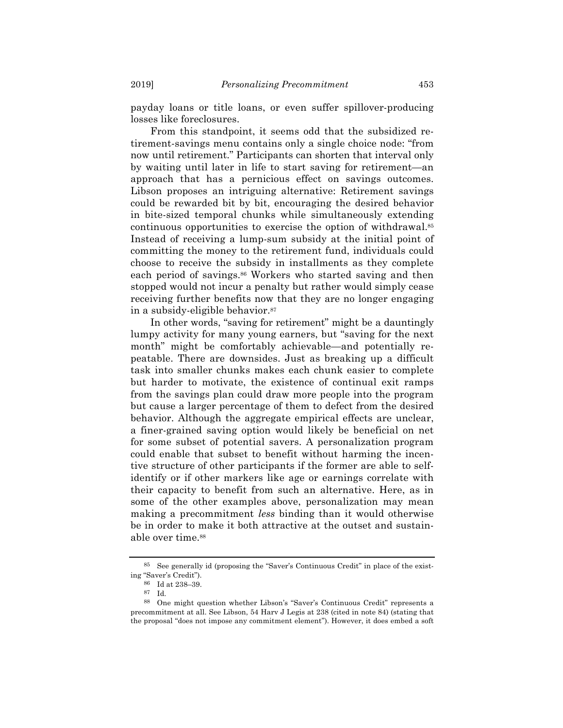payday loans or title loans, or even suffer spillover-producing losses like foreclosures.

From this standpoint, it seems odd that the subsidized retirement-savings menu contains only a single choice node: "from now until retirement." Participants can shorten that interval only by waiting until later in life to start saving for retirement—an approach that has a pernicious effect on savings outcomes. Libson proposes an intriguing alternative: Retirement savings could be rewarded bit by bit, encouraging the desired behavior in bite-sized temporal chunks while simultaneously extending continuous opportunities to exercise the option of withdrawal.85 Instead of receiving a lump-sum subsidy at the initial point of committing the money to the retirement fund, individuals could choose to receive the subsidy in installments as they complete each period of savings.<sup>86</sup> Workers who started saving and then stopped would not incur a penalty but rather would simply cease receiving further benefits now that they are no longer engaging in a subsidy-eligible behavior.87

In other words, "saving for retirement" might be a dauntingly lumpy activity for many young earners, but "saving for the next month" might be comfortably achievable—and potentially repeatable. There are downsides. Just as breaking up a difficult task into smaller chunks makes each chunk easier to complete but harder to motivate, the existence of continual exit ramps from the savings plan could draw more people into the program but cause a larger percentage of them to defect from the desired behavior. Although the aggregate empirical effects are unclear, a finer-grained saving option would likely be beneficial on net for some subset of potential savers. A personalization program could enable that subset to benefit without harming the incentive structure of other participants if the former are able to selfidentify or if other markers like age or earnings correlate with their capacity to benefit from such an alternative. Here, as in some of the other examples above, personalization may mean making a precommitment *less* binding than it would otherwise be in order to make it both attractive at the outset and sustainable over time.<sup>88</sup>

<sup>85</sup> See generally id (proposing the "Saver's Continuous Credit" in place of the existing "Saver's Credit").

<sup>86</sup> Id at 238–39.

<sup>87</sup> Id.

<sup>88</sup> One might question whether Libson's "Saver's Continuous Credit" represents a precommitment at all. See Libson, 54 Harv J Legis at 238 (cited in note 84) (stating that the proposal "does not impose any commitment element"). However, it does embed a soft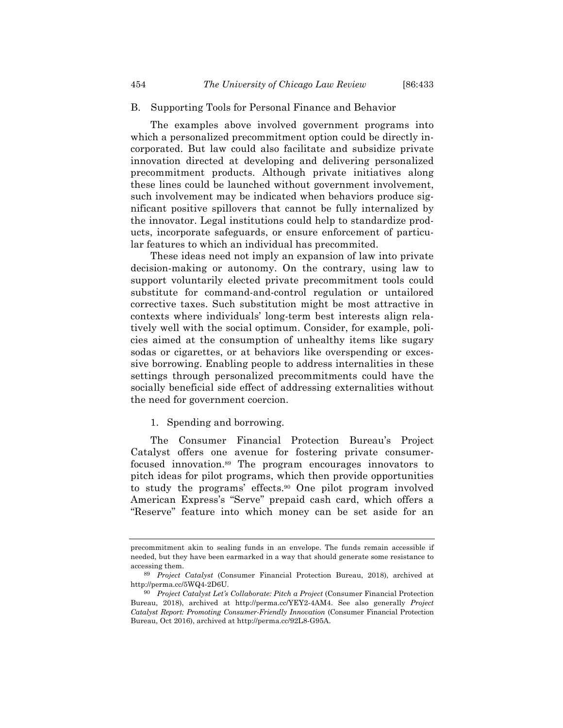#### B. Supporting Tools for Personal Finance and Behavior

The examples above involved government programs into which a personalized precommitment option could be directly incorporated. But law could also facilitate and subsidize private innovation directed at developing and delivering personalized precommitment products. Although private initiatives along these lines could be launched without government involvement, such involvement may be indicated when behaviors produce significant positive spillovers that cannot be fully internalized by the innovator. Legal institutions could help to standardize products, incorporate safeguards, or ensure enforcement of particular features to which an individual has precommited.

These ideas need not imply an expansion of law into private decision-making or autonomy. On the contrary, using law to support voluntarily elected private precommitment tools could substitute for command-and-control regulation or untailored corrective taxes. Such substitution might be most attractive in contexts where individuals' long-term best interests align relatively well with the social optimum. Consider, for example, policies aimed at the consumption of unhealthy items like sugary sodas or cigarettes, or at behaviors like overspending or excessive borrowing. Enabling people to address internalities in these settings through personalized precommitments could have the socially beneficial side effect of addressing externalities without the need for government coercion.

#### 1. Spending and borrowing.

The Consumer Financial Protection Bureau's Project Catalyst offers one avenue for fostering private consumerfocused innovation.89 The program encourages innovators to pitch ideas for pilot programs, which then provide opportunities to study the programs' effects.90 One pilot program involved American Express's "Serve" prepaid cash card, which offers a "Reserve" feature into which money can be set aside for an

precommitment akin to sealing funds in an envelope. The funds remain accessible if needed, but they have been earmarked in a way that should generate some resistance to accessing them.

<sup>89</sup> *Project Catalyst* (Consumer Financial Protection Bureau, 2018), archived at http://perma.cc/5WQ4-2D6U.

<sup>90</sup> *Project Catalyst Let's Collaborate: Pitch a Project* (Consumer Financial Protection Bureau, 2018), archived at http://perma.cc/YEY2-4AM4. See also generally *Project Catalyst Report: Promoting Consumer-Friendly Innovation* (Consumer Financial Protection Bureau, Oct 2016), archived at http://perma.cc/92L8-G95A.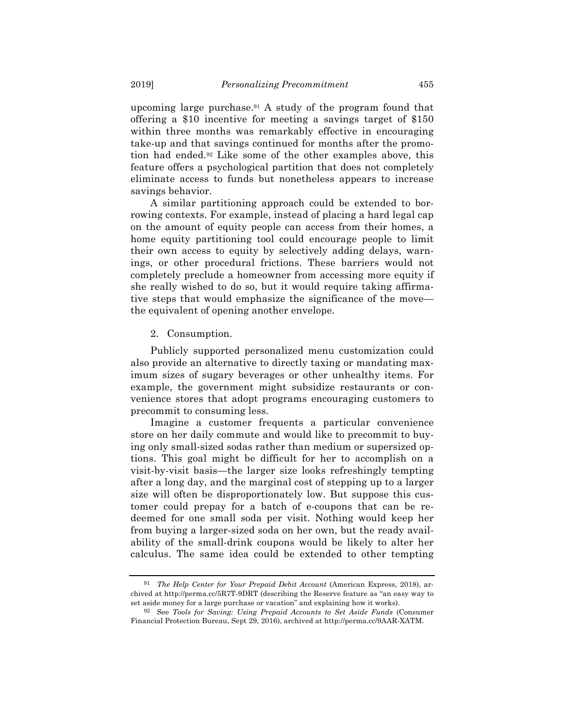upcoming large purchase.91 A study of the program found that offering a \$10 incentive for meeting a savings target of \$150 within three months was remarkably effective in encouraging take-up and that savings continued for months after the promotion had ended.92 Like some of the other examples above, this feature offers a psychological partition that does not completely eliminate access to funds but nonetheless appears to increase savings behavior.

A similar partitioning approach could be extended to borrowing contexts. For example, instead of placing a hard legal cap on the amount of equity people can access from their homes, a home equity partitioning tool could encourage people to limit their own access to equity by selectively adding delays, warnings, or other procedural frictions. These barriers would not completely preclude a homeowner from accessing more equity if she really wished to do so, but it would require taking affirmative steps that would emphasize the significance of the move the equivalent of opening another envelope.

#### 2. Consumption.

Publicly supported personalized menu customization could also provide an alternative to directly taxing or mandating maximum sizes of sugary beverages or other unhealthy items. For example, the government might subsidize restaurants or convenience stores that adopt programs encouraging customers to precommit to consuming less.

Imagine a customer frequents a particular convenience store on her daily commute and would like to precommit to buying only small-sized sodas rather than medium or supersized options. This goal might be difficult for her to accomplish on a visit-by-visit basis—the larger size looks refreshingly tempting after a long day, and the marginal cost of stepping up to a larger size will often be disproportionately low. But suppose this customer could prepay for a batch of e-coupons that can be redeemed for one small soda per visit. Nothing would keep her from buying a larger-sized soda on her own, but the ready availability of the small-drink coupons would be likely to alter her calculus. The same idea could be extended to other tempting

<sup>91</sup> *The Help Center for Your Prepaid Debit Account* (American Express, 2018), archived at http://perma.cc/5R7T-9DRT (describing the Reserve feature as "an easy way to set aside money for a large purchase or vacation" and explaining how it works).

<sup>92</sup> See *Tools for Saving: Using Prepaid Accounts to Set Aside Funds* (Consumer Financial Protection Bureau, Sept 29, 2016), archived at http://perma.cc/9AAR-XATM.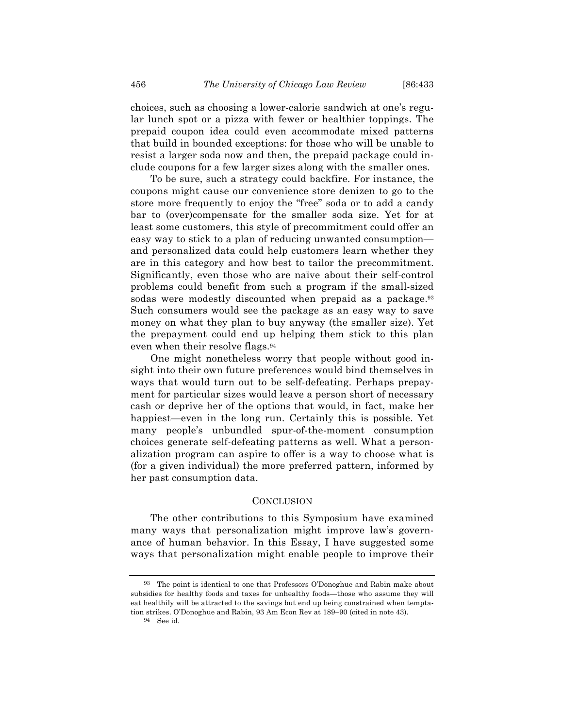choices, such as choosing a lower-calorie sandwich at one's regular lunch spot or a pizza with fewer or healthier toppings. The prepaid coupon idea could even accommodate mixed patterns that build in bounded exceptions: for those who will be unable to resist a larger soda now and then, the prepaid package could include coupons for a few larger sizes along with the smaller ones.

To be sure, such a strategy could backfire. For instance, the coupons might cause our convenience store denizen to go to the store more frequently to enjoy the "free" soda or to add a candy bar to (over)compensate for the smaller soda size. Yet for at least some customers, this style of precommitment could offer an easy way to stick to a plan of reducing unwanted consumption and personalized data could help customers learn whether they are in this category and how best to tailor the precommitment. Significantly, even those who are naïve about their self-control problems could benefit from such a program if the small-sized sodas were modestly discounted when prepaid as a package.<sup>93</sup> Such consumers would see the package as an easy way to save money on what they plan to buy anyway (the smaller size). Yet the prepayment could end up helping them stick to this plan even when their resolve flags.94

One might nonetheless worry that people without good insight into their own future preferences would bind themselves in ways that would turn out to be self-defeating. Perhaps prepayment for particular sizes would leave a person short of necessary cash or deprive her of the options that would, in fact, make her happiest—even in the long run. Certainly this is possible. Yet many people's unbundled spur-of-the-moment consumption choices generate self-defeating patterns as well. What a personalization program can aspire to offer is a way to choose what is (for a given individual) the more preferred pattern, informed by her past consumption data.

#### **CONCLUSION**

The other contributions to this Symposium have examined many ways that personalization might improve law's governance of human behavior. In this Essay, I have suggested some ways that personalization might enable people to improve their

<sup>93</sup> The point is identical to one that Professors O'Donoghue and Rabin make about subsidies for healthy foods and taxes for unhealthy foods—those who assume they will eat healthily will be attracted to the savings but end up being constrained when temptation strikes. O'Donoghue and Rabin, 93 Am Econ Rev at 189–90 (cited in note 43).

<sup>94</sup> See id.